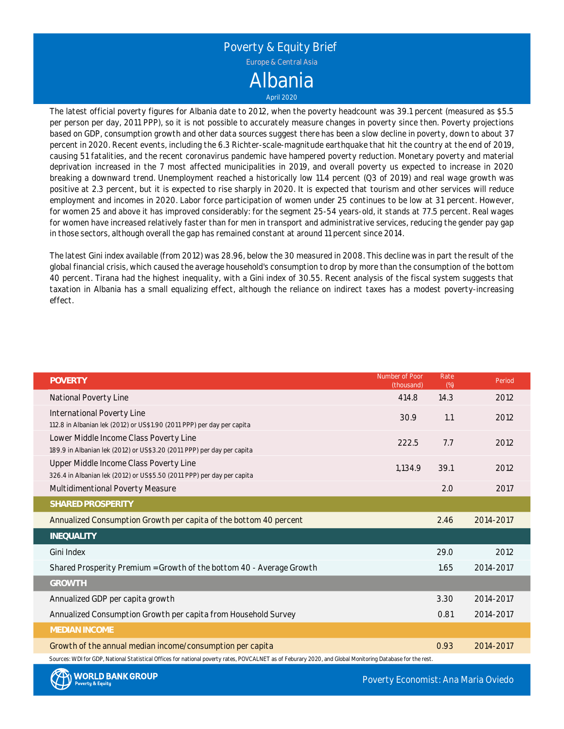

The latest official poverty figures for Albania date to 2012, when the poverty headcount was 39.1 percent (measured as \$5.5 per person per day, 2011 PPP), so it is not possible to accurately measure changes in poverty since then. Poverty projections based on GDP, consumption growth and other data sources suggest there has been <sup>a</sup> slow decline in poverty, down to about 37 percent in 2020. Recent events, including the 6.3 Richter-scale-magnitude earthquake that hit the country at the end of 2019, causing 51 fatalities, and the recent coronavirus pandemic have hampered poverty reduction. Monetary poverty and material deprivation increased in the 7 most affected municipalities in 2019, and overall poverty us expected to increase in 2020 breaking <sup>a</sup> downward trend. Unemployment reached <sup>a</sup> historically low 11.4 percent (Q3 of 2019) and real wage growth was positive at 2.3 percent, but it is expected to rise sharply in 2020. It is expected that tourism and other services will reduce employment and incomes in 2020. Labor force participation of women under 25 continues to be low at 31 percent. However, for women 25 and above it has improved considerably: for the segment 25-54 years-old, it stands at 77.5 percent. Real wages for women have increased relatively faster than for men in transport and administrative services, reducing the gender pay gap in those sectors, although overall the gap has remained constant at around 11 percent since 2014.

The latest Gini index available (from 2012) was 28.96, below the 30 measured in 2008. This decline was in part the result of the global financial crisis, which caused the average household's consumption to drop by more than the consumption of the bottom 40 percent. Tirana had the highest inequality, with <sup>a</sup> Gini index of 30.55. Recent analysis of the fiscal system suggests that taxation in Albania has <sup>a</sup> small equalizing effect, although the reliance on indirect taxes has <sup>a</sup> modest poverty-increasing effect.

| <b>POVERTY</b>                                                                                                                                             | Number of Poor<br>(thousand) | Rate<br>(%) | Period    |
|------------------------------------------------------------------------------------------------------------------------------------------------------------|------------------------------|-------------|-----------|
| National Poverty Line                                                                                                                                      | 414.8                        | 14.3        | 2012      |
| International Poverty Line                                                                                                                                 | 30.9                         | 1.1         | 2012      |
| 112.8 in Albanian lek (2012) or US\$1.90 (2011 PPP) per day per capita                                                                                     |                              |             |           |
| Lower Middle Income Class Poverty Line                                                                                                                     | 222.5                        | 7.7         | 2012      |
| 189.9 in Albanian lek (2012) or US\$3.20 (2011 PPP) per day per capita                                                                                     |                              |             |           |
| Upper Middle Income Class Poverty Line                                                                                                                     | 1.134.9                      | 39.1        | 2012      |
| 326.4 in Albanian lek (2012) or US\$5.50 (2011 PPP) per day per capita                                                                                     |                              |             |           |
| Multidimentional Poverty Measure                                                                                                                           |                              | 2.0         | 2017      |
| SHARED PROSPERITY                                                                                                                                          |                              |             |           |
| Annualized Consumption Growth per capita of the bottom 40 percent                                                                                          |                              | 2.46        | 2014-2017 |
| INEQUALITY                                                                                                                                                 |                              |             |           |
| Gini Index                                                                                                                                                 |                              | 29.0        | 2012      |
| Shared Prosperity Premium = Growth of the bottom 40 - Average Growth                                                                                       |                              | 1.65        | 2014-2017 |
| <b>GROWTH</b>                                                                                                                                              |                              |             |           |
| Annualized GDP per capita growth                                                                                                                           |                              | 3.30        | 2014-2017 |
| Annualized Consumption Growth per capita from Household Survey                                                                                             |                              | 0.81        | 2014-2017 |
| <b>MEDIAN INCOME</b>                                                                                                                                       |                              |             |           |
| Growth of the annual median income/consumption per capita                                                                                                  |                              | 0.93        | 2014-2017 |
| Sources: WDI for GDP, National Statistical Offices for national poverty rates, POVCALNET as of Feburary 2020, and Global Monitoring Database for the rest. |                              |             |           |